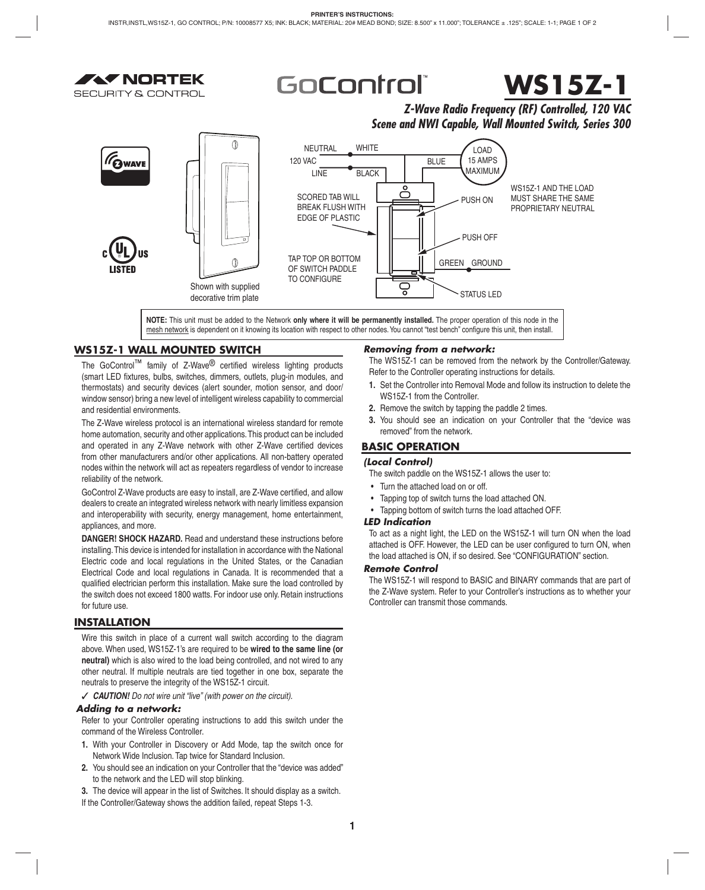



# **WS15Z-1**

# *Z-Wave Radio Frequency (RF) Controlled, 120 VAC Scene and NWI Capable, Wall Mounted Switch, Series 300*



**NOTE:** This unit must be added to the Network **only where it will be permanently installed.** The proper operation of this node in the mesh network is dependent on it knowing its location with respect to other nodes. You cannot "test bench" configure this unit, then install.

# **WS15Z-1 WALL MOUNTED SWITCH**

The GoControl<sup>™</sup> family of Z-Wave<sup>®</sup> certified wireless lighting products (smart LED fixtures, bulbs, switches, dimmers, outlets, plug-in modules, and thermostats) and security devices (alert sounder, motion sensor, and door/ window sensor) bring a new level of intelligent wireless capability to commercial and residential environments.

The Z-Wave wireless protocol is an international wireless standard for remote home automation, security and other applications. This product can be included and operated in any Z-Wave network with other Z-Wave certified devices from other manufacturers and/or other applications. All non-battery operated nodes within the network will act as repeaters regardless of vendor to increase reliability of the network.

GoControl Z-Wave products are easy to install, are Z-Wave certified, and allow dealers to create an integrated wireless network with nearly limitless expansion and interoperability with security, energy management, home entertainment, appliances, and more.

**DANGER! SHOCK HAZARD.** Read and understand these instructions before installing. This device is intended for installation in accordance with the National Electric code and local regulations in the United States, or the Canadian Electrical Code and local regulations in Canada. It is recommended that a qualified electrician perform this installation. Make sure the load controlled by the switch does not exceed 1800 watts. For indoor use only. Retain instructions for future use.

# **INSTALLATION**

Wire this switch in place of a current wall switch according to the diagram above. When used, WS15Z-1's are required to be **wired to the same line (or neutral)** which is also wired to the load being controlled, and not wired to any other neutral. If multiple neutrals are tied together in one box, separate the neutrals to preserve the integrity of the WS15Z-1 circuit.

✓ *CAUTION! Do not wire unit "live" (with power on the circuit).*

## *Adding to a network:*

Refer to your Controller operating instructions to add this switch under the command of the Wireless Controller.

- **1.** With your Controller in Discovery or Add Mode, tap the switch once for Network Wide Inclusion. Tap twice for Standard Inclusion.
- **2.** You should see an indication on your Controller that the "device was added" to the network and the LED will stop blinking.
- **3.** The device will appear in the list of Switches. It should display as a switch.
- If the Controller/Gateway shows the addition failed, repeat Steps 1-3.

# *Removing from a network:*

The WS15Z-1 can be removed from the network by the Controller/Gateway. Refer to the Controller operating instructions for details.

- **1.** Set the Controller into Removal Mode and follow its instruction to delete the WS15Z-1 from the Controller.
- **2.** Remove the switch by tapping the paddle 2 times.
- **3.** You should see an indication on your Controller that the "device was removed" from the network.

# **BASIC OPERATION**

# *(Local Control)*

The switch paddle on the WS15Z-1 allows the user to:

- Turn the attached load on or off.
- Tapping top of switch turns the load attached ON.
- Tapping bottom of switch turns the load attached OFF.

## *LED Indication*

To act as a night light, the LED on the WS15Z-1 will turn ON when the load attached is OFF. However, the LED can be user configured to turn ON, when the load attached is ON, if so desired. See "CONFIGURATION" section.

## *Remote Control*

The WS15Z-1 will respond to BASIC and BINARY commands that are part of the Z-Wave system. Refer to your Controller's instructions as to whether your Controller can transmit those commands.